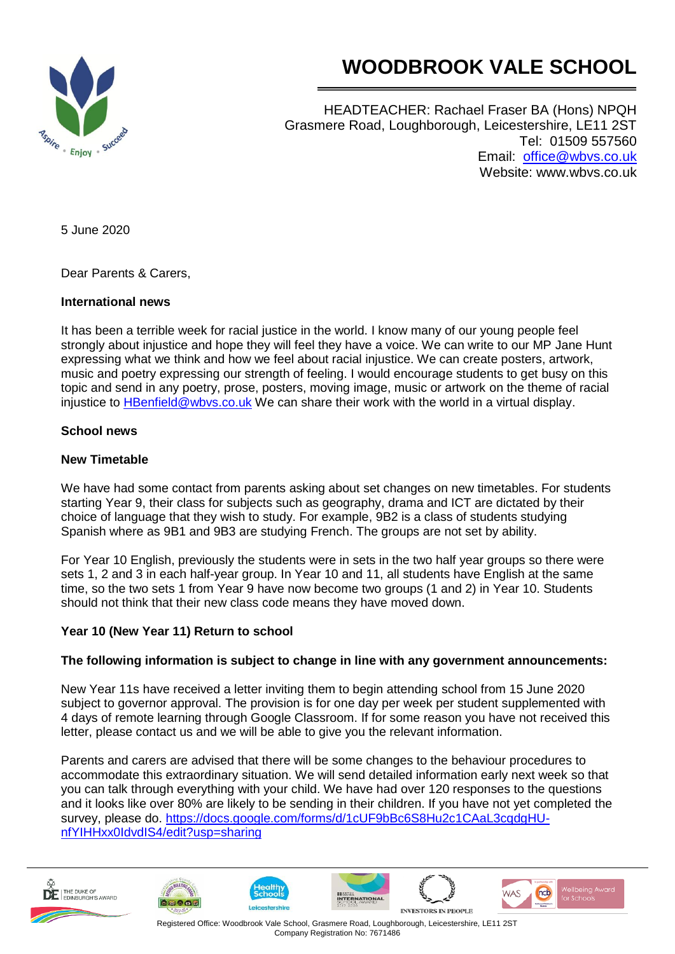

# **WOODBROOK VALE SCHOOL**

HEADTEACHER: Rachael Fraser BA (Hons) NPQH Grasmere Road, Loughborough, Leicestershire, LE11 2ST Tel: 01509 557560 Email: [office@wbvs.co.uk](mailto:office@wbvs.co.uk) Website: www.wbvs.co.uk

5 June 2020

Dear Parents & Carers,

#### **International news**

It has been a terrible week for racial justice in the world. I know many of our young people feel strongly about injustice and hope they will feel they have a voice. We can write to our MP Jane Hunt expressing what we think and how we feel about racial injustice. We can create posters, artwork, music and poetry expressing our strength of feeling. I would encourage students to get busy on this topic and send in any poetry, prose, posters, moving image, music or artwork on the theme of racial injustice to **HBenfield@wbys.co.uk** We can share their work with the world in a virtual display.

## **School news**

## **New Timetable**

We have had some contact from parents asking about set changes on new timetables. For students starting Year 9, their class for subjects such as geography, drama and ICT are dictated by their choice of language that they wish to study. For example, 9B2 is a class of students studying Spanish where as 9B1 and 9B3 are studying French. The groups are not set by ability.

For Year 10 English, previously the students were in sets in the two half year groups so there were sets 1, 2 and 3 in each half-year group. In Year 10 and 11, all students have English at the same time, so the two sets 1 from Year 9 have now become two groups (1 and 2) in Year 10. Students should not think that their new class code means they have moved down.

#### **Year 10 (New Year 11) Return to school**

## **The following information is subject to change in line with any government announcements:**

New Year 11s have received a letter inviting them to begin attending school from 15 June 2020 subject to governor approval. The provision is for one day per week per student supplemented with 4 days of remote learning through Google Classroom. If for some reason you have not received this letter, please contact us and we will be able to give you the relevant information.

Parents and carers are advised that there will be some changes to the behaviour procedures to accommodate this extraordinary situation. We will send detailed information early next week so that you can talk through everything with your child. We have had over 120 responses to the questions and it looks like over 80% are likely to be sending in their children. If you have not yet completed the survey, please do. [https://docs.google.com/forms/d/1cUF9bBc6S8Hu2c1CAaL3cqdgHU](https://docs.google.com/forms/d/1cUF9bBc6S8Hu2c1CAaL3cqdgHU-nfYIHHxx0IdvdIS4/edit?usp=sharing)[nfYIHHxx0IdvdIS4/edit?usp=sharing](https://docs.google.com/forms/d/1cUF9bBc6S8Hu2c1CAaL3cqdgHU-nfYIHHxx0IdvdIS4/edit?usp=sharing)











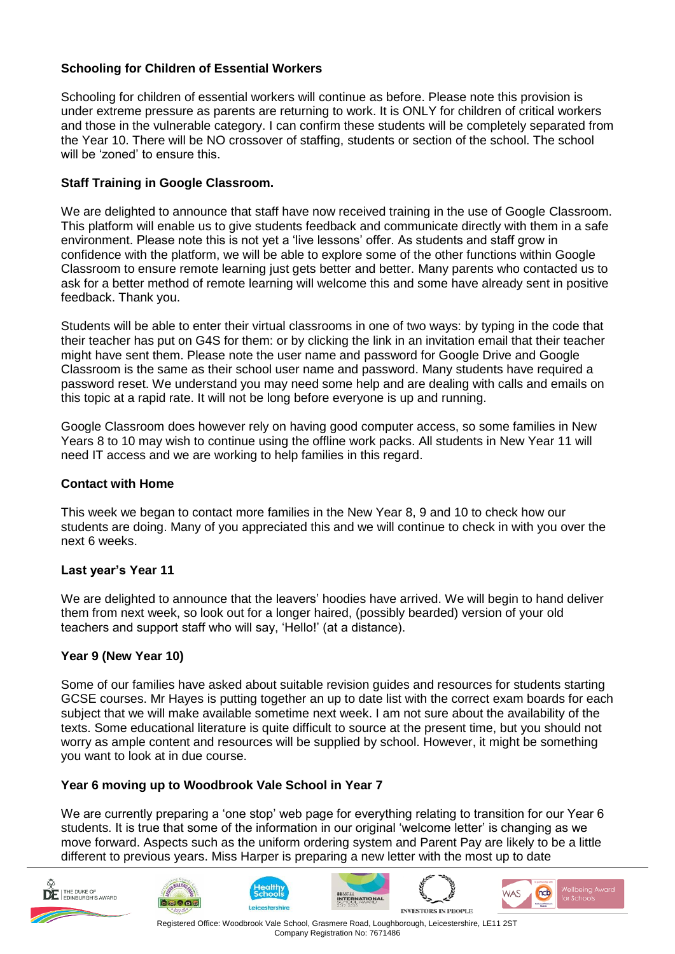## **Schooling for Children of Essential Workers**

Schooling for children of essential workers will continue as before. Please note this provision is under extreme pressure as parents are returning to work. It is ONLY for children of critical workers and those in the vulnerable category. I can confirm these students will be completely separated from the Year 10. There will be NO crossover of staffing, students or section of the school. The school will be 'zoned' to ensure this.

## **Staff Training in Google Classroom.**

We are delighted to announce that staff have now received training in the use of Google Classroom. This platform will enable us to give students feedback and communicate directly with them in a safe environment. Please note this is not yet a 'live lessons' offer. As students and staff grow in confidence with the platform, we will be able to explore some of the other functions within Google Classroom to ensure remote learning just gets better and better. Many parents who contacted us to ask for a better method of remote learning will welcome this and some have already sent in positive feedback. Thank you.

Students will be able to enter their virtual classrooms in one of two ways: by typing in the code that their teacher has put on G4S for them: or by clicking the link in an invitation email that their teacher might have sent them. Please note the user name and password for Google Drive and Google Classroom is the same as their school user name and password. Many students have required a password reset. We understand you may need some help and are dealing with calls and emails on this topic at a rapid rate. It will not be long before everyone is up and running.

Google Classroom does however rely on having good computer access, so some families in New Years 8 to 10 may wish to continue using the offline work packs. All students in New Year 11 will need IT access and we are working to help families in this regard.

#### **Contact with Home**

This week we began to contact more families in the New Year 8, 9 and 10 to check how our students are doing. Many of you appreciated this and we will continue to check in with you over the next 6 weeks.

#### **Last year's Year 11**

We are delighted to announce that the leavers' hoodies have arrived. We will begin to hand deliver them from next week, so look out for a longer haired, (possibly bearded) version of your old teachers and support staff who will say, 'Hello!' (at a distance).

#### **Year 9 (New Year 10)**

Some of our families have asked about suitable revision guides and resources for students starting GCSE courses. Mr Hayes is putting together an up to date list with the correct exam boards for each subject that we will make available sometime next week. I am not sure about the availability of the texts. Some educational literature is quite difficult to source at the present time, but you should not worry as ample content and resources will be supplied by school. However, it might be something you want to look at in due course.

#### **Year 6 moving up to Woodbrook Vale School in Year 7**

We are currently preparing a 'one stop' web page for everything relating to transition for our Year 6 students. It is true that some of the information in our original 'welcome letter' is changing as we move forward. Aspects such as the uniform ordering system and Parent Pay are likely to be a little different to previous years. Miss Harper is preparing a new letter with the most up to date